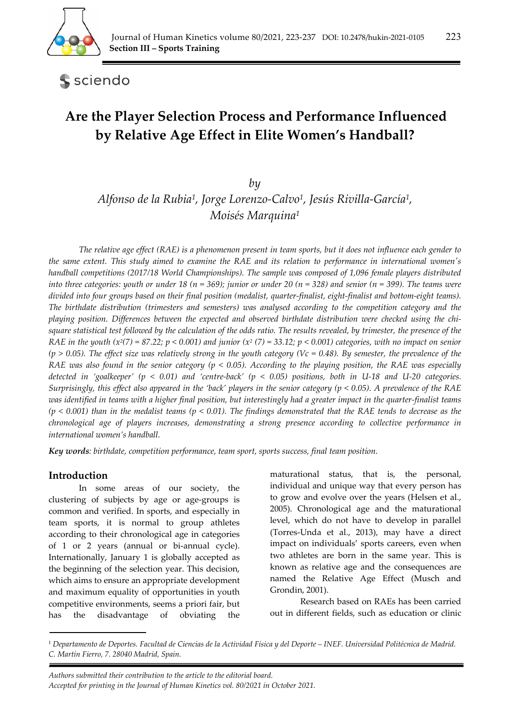

sciendo

# **Are the Player Selection Process and Performance Influenced by Relative Age Effect in Elite Women's Handball?**

*by* 

*Alfonso de la Rubia1, Jorge Lorenzo-Calvo1, Jesús Rivilla-García1, Moisés Marquina1*

*The relative age effect (RAE) is a phenomenon present in team sports, but it does not influence each gender to the same extent. This study aimed to examine the RAE and its relation to performance in international women's handball competitions (2017/18 World Championships). The sample was composed of 1,096 female players distributed into three categories: youth or under 18 (n = 369); junior or under 20 (n = 328) and senior (n = 399). The teams were divided into four groups based on their final position (medalist, quarter-finalist, eight-finalist and bottom-eight teams). The birthdate distribution (trimesters and semesters) was analysed according to the competition category and the playing position. Differences between the expected and observed birthdate distribution were checked using the chisquare statistical test followed by the calculation of the odds ratio. The results revealed, by trimester, the presence of the RAE in the youth (x<sup>2</sup>(7) = 87.22; p < 0.001) and junior (x<sup>2</sup> (7) = 33.12; p < 0.001) categories, with no impact on senior*  $(p > 0.05)$ . The effect size was relatively strong in the youth category (Vc = 0.48). By semester, the prevalence of the *RAE was also found in the senior category (p < 0.05). According to the playing position, the RAE was especially detected in 'goalkeeper' (p < 0.01) and 'centre-back' (p < 0.05) positions, both in U-18 and U-20 categories. Surprisingly, this effect also appeared in the 'back' players in the senior category (p < 0.05). A prevalence of the RAE was identified in teams with a higher final position, but interestingly had a greater impact in the quarter-finalist teams (p < 0.001) than in the medalist teams (p < 0.01). The findings demonstrated that the RAE tends to decrease as the chronological age of players increases, demonstrating a strong presence according to collective performance in international women's handball.* 

*Key words: birthdate, competition performance, team sport, sports success, final team position.* 

# **Introduction**

In some areas of our society, the clustering of subjects by age or age-groups is common and verified. In sports, and especially in team sports, it is normal to group athletes according to their chronological age in categories of 1 or 2 years (annual or bi-annual cycle). Internationally, January 1 is globally accepted as the beginning of the selection year. This decision, which aims to ensure an appropriate development and maximum equality of opportunities in youth competitive environments, seems a priori fair, but has the disadvantage of obviating the maturational status, that is, the personal, individual and unique way that every person has to grow and evolve over the years (Helsen et al., 2005). Chronological age and the maturational level, which do not have to develop in parallel (Torres-Unda et al., 2013), may have a direct impact on individuals' sports careers, even when two athletes are born in the same year. This is known as relative age and the consequences are named the Relative Age Effect (Musch and Grondin, 2001).

Research based on RAEs has been carried out in different fields, such as education or clinic

*. Authors submitted their contribution to the article to the editorial board. Accepted for printing in the Journal of Human Kinetics vol. 80/2021 in October 2021.* 

<sup>1</sup> *Departamento de Deportes. Facultad de Ciencias de la Actividad Física y del Deporte – INEF. Universidad Politécnica de Madrid. C. Martín Fierro, 7. 28040 Madrid, Spain.*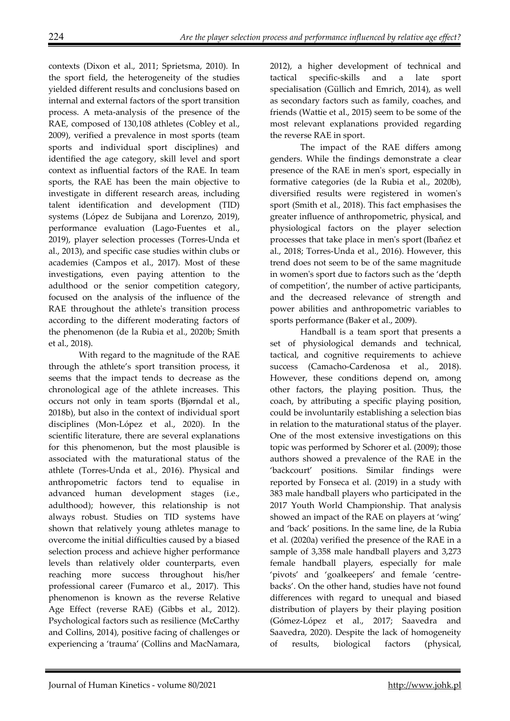contexts (Dixon et al., 2011; Sprietsma, 2010). In the sport field, the heterogeneity of the studies yielded different results and conclusions based on internal and external factors of the sport transition process. A meta-analysis of the presence of the RAE, composed of 130,108 athletes (Cobley et al., 2009), verified a prevalence in most sports (team sports and individual sport disciplines) and identified the age category, skill level and sport context as influential factors of the RAE. In team sports, the RAE has been the main objective to investigate in different research areas, including talent identification and development (TID) systems (López de Subijana and Lorenzo, 2019), performance evaluation (Lago-Fuentes et al., 2019), player selection processes (Torres-Unda et al., 2013), and specific case studies within clubs or academies (Campos et al., 2017). Most of these investigations, even paying attention to the adulthood or the senior competition category, focused on the analysis of the influence of the RAE throughout the athlete's transition process according to the different moderating factors of the phenomenon (de la Rubia et al., 2020b; Smith et al., 2018).

With regard to the magnitude of the RAE through the athlete's sport transition process, it seems that the impact tends to decrease as the chronological age of the athlete increases. This occurs not only in team sports (Bjørndal et al., 2018b), but also in the context of individual sport disciplines (Mon-López et al., 2020). In the scientific literature, there are several explanations for this phenomenon, but the most plausible is associated with the maturational status of the athlete (Torres-Unda et al., 2016). Physical and anthropometric factors tend to equalise in advanced human development stages (i.e., adulthood); however, this relationship is not always robust. Studies on TID systems have shown that relatively young athletes manage to overcome the initial difficulties caused by a biased selection process and achieve higher performance levels than relatively older counterparts, even reaching more success throughout his/her professional career (Fumarco et al., 2017). This phenomenon is known as the reverse Relative Age Effect (reverse RAE) (Gibbs et al., 2012). Psychological factors such as resilience (McCarthy and Collins, 2014), positive facing of challenges or experiencing a 'trauma' (Collins and MacNamara,

2012), a higher development of technical and tactical specific-skills and a late sport specialisation (Güllich and Emrich, 2014), as well as secondary factors such as family, coaches, and friends (Wattie et al., 2015) seem to be some of the most relevant explanations provided regarding the reverse RAE in sport.

The impact of the RAE differs among genders. While the findings demonstrate a clear presence of the RAE in men's sport, especially in formative categories (de la Rubia et al., 2020b), diversified results were registered in women's sport (Smith et al., 2018). This fact emphasises the greater influence of anthropometric, physical, and physiological factors on the player selection processes that take place in men's sport (Ibañez et al., 2018; Torres-Unda et al., 2016). However, this trend does not seem to be of the same magnitude in women's sport due to factors such as the 'depth of competition', the number of active participants, and the decreased relevance of strength and power abilities and anthropometric variables to sports performance (Baker et al., 2009).

Handball is a team sport that presents a set of physiological demands and technical, tactical, and cognitive requirements to achieve success (Camacho-Cardenosa et al., 2018). However, these conditions depend on, among other factors, the playing position. Thus, the coach, by attributing a specific playing position, could be involuntarily establishing a selection bias in relation to the maturational status of the player. One of the most extensive investigations on this topic was performed by Schorer et al. (2009); those authors showed a prevalence of the RAE in the 'backcourt' positions. Similar findings were reported by Fonseca et al. (2019) in a study with 383 male handball players who participated in the 2017 Youth World Championship. That analysis showed an impact of the RAE on players at 'wing' and 'back' positions. In the same line, de la Rubia et al. (2020a) verified the presence of the RAE in a sample of 3,358 male handball players and 3,273 female handball players, especially for male 'pivots' and 'goalkeepers' and female 'centrebacks'. On the other hand, studies have not found differences with regard to unequal and biased distribution of players by their playing position (Gómez-López et al., 2017; Saavedra and Saavedra, 2020). Despite the lack of homogeneity of results, biological factors (physical,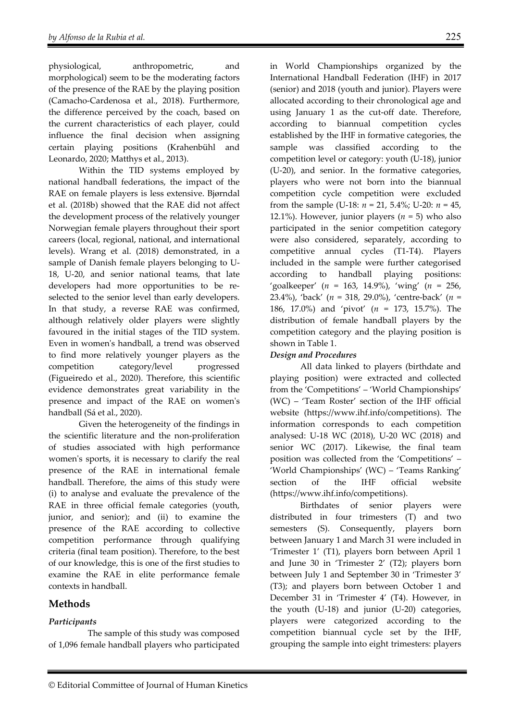physiological, anthropometric, and morphological) seem to be the moderating factors of the presence of the RAE by the playing position (Camacho-Cardenosa et al., 2018). Furthermore, the difference perceived by the coach, based on the current characteristics of each player, could influence the final decision when assigning certain playing positions (Krahenbühl and Leonardo, 2020; Matthys et al., 2013).

Within the TID systems employed by national handball federations, the impact of the RAE on female players is less extensive. Bjørndal et al. (2018b) showed that the RAE did not affect the development process of the relatively younger Norwegian female players throughout their sport careers (local, regional, national, and international levels). Wrang et al. (2018) demonstrated, in a sample of Danish female players belonging to U-18, U-20, and senior national teams, that late developers had more opportunities to be reselected to the senior level than early developers. In that study, a reverse RAE was confirmed, although relatively older players were slightly favoured in the initial stages of the TID system. Even in women's handball, a trend was observed to find more relatively younger players as the competition category/level progressed (Figueiredo et al., 2020). Therefore, this scientific evidence demonstrates great variability in the presence and impact of the RAE on women's handball (Sá et al., 2020).

Given the heterogeneity of the findings in the scientific literature and the non-proliferation of studies associated with high performance women's sports, it is necessary to clarify the real presence of the RAE in international female handball. Therefore, the aims of this study were (i) to analyse and evaluate the prevalence of the RAE in three official female categories (youth, junior, and senior); and (ii) to examine the presence of the RAE according to collective competition performance through qualifying criteria (final team position). Therefore, to the best of our knowledge, this is one of the first studies to examine the RAE in elite performance female contexts in handball.

# **Methods**

# *Participants*

 The sample of this study was composed of 1,096 female handball players who participated in World Championships organized by the International Handball Federation (IHF) in 2017 (senior) and 2018 (youth and junior). Players were allocated according to their chronological age and using January 1 as the cut-off date. Therefore, according to biannual competition cycles established by the IHF in formative categories, the sample was classified according to the competition level or category: youth (U-18), junior (U-20), and senior. In the formative categories, players who were not born into the biannual competition cycle competition were excluded from the sample (U-18: *n* = 21, 5.4%; U-20: *n* = 45, 12.1%). However, junior players  $(n = 5)$  who also participated in the senior competition category were also considered, separately, according to competitive annual cycles (T1-T4). Players included in the sample were further categorised according to handball playing positions: 'goalkeeper' (*n* = 163, 14.9%), 'wing' (*n* = 256, 23.4%), 'back' (*n* = 318, 29.0%), 'centre-back' (*n* = 186, 17.0%) and 'pivot' (*n* = 173, 15.7%). The distribution of female handball players by the competition category and the playing position is shown in Table 1.

### *Design and Procedures*

All data linked to players (birthdate and playing position) were extracted and collected from the 'Competitions' – 'World Championships' (WC) – 'Team Roster' section of the IHF official website (https://www.ihf.info/competitions). The information corresponds to each competition analysed: U-18 WC (2018), U-20 WC (2018) and senior WC (2017). Likewise, the final team position was collected from the 'Competitions' – 'World Championships' (WC) – 'Teams Ranking' section of the IHF official website (https://www.ihf.info/competitions).

Birthdates of senior players were distributed in four trimesters (T) and two semesters (S). Consequently, players born between January 1 and March 31 were included in 'Trimester 1' (T1), players born between April 1 and June 30 in 'Trimester 2' (T2); players born between July 1 and September 30 in 'Trimester 3' (T3); and players born between October 1 and December 31 in 'Trimester 4' (T4). However, in the youth (U-18) and junior (U-20) categories, players were categorized according to the competition biannual cycle set by the IHF, grouping the sample into eight trimesters: players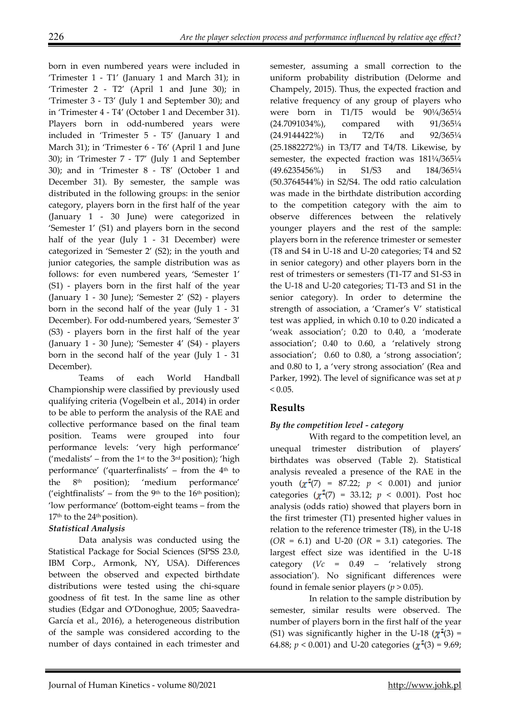born in even numbered years were included in 'Trimester 1 - T1' (January 1 and March 31); in 'Trimester 2 - T2' (April 1 and June 30); in 'Trimester 3 - T3' (July 1 and September 30); and in 'Trimester 4 - T4' (October 1 and December 31). Players born in odd-numbered years were included in 'Trimester 5 - T5' (January 1 and March 31); in 'Trimester 6 - T6' (April 1 and June 30); in 'Trimester 7 - T7' (July 1 and September 30); and in 'Trimester 8 - T8' (October 1 and December 31). By semester, the sample was distributed in the following groups: in the senior category, players born in the first half of the year (January 1 - 30 June) were categorized in 'Semester 1' (S1) and players born in the second half of the year (July 1 - 31 December) were categorized in 'Semester 2' (S2); in the youth and junior categories, the sample distribution was as follows: for even numbered years, 'Semester 1' (S1) - players born in the first half of the year (January 1 - 30 June); 'Semester 2' (S2) - players born in the second half of the year (July 1 - 31 December). For odd-numbered years, 'Semester 3' (S3) - players born in the first half of the year (January 1 - 30 June); 'Semester 4' (S4) - players born in the second half of the year (July 1 - 31 December).

Teams of each World Handball Championship were classified by previously used qualifying criteria (Vogelbein et al., 2014) in order to be able to perform the analysis of the RAE and collective performance based on the final team position. Teams were grouped into four performance levels: 'very high performance' ('medalists' – from the  $1<sup>st</sup>$  to the  $3<sup>rd</sup>$  position); 'high performance' ('quarterfinalists' – from the 4th to the 8th position); 'medium performance' ('eightfinalists' – from the 9<sup>th</sup> to the 16<sup>th</sup> position); 'low performance' (bottom-eight teams – from the  $17<sup>th</sup>$  to the  $24<sup>th</sup>$  position).

# *Statistical Analysis*

Data analysis was conducted using the Statistical Package for Social Sciences (SPSS 23.0, IBM Corp., Armonk, NY, USA). Differences between the observed and expected birthdate distributions were tested using the chi-square goodness of fit test. In the same line as other studies (Edgar and O'Donoghue, 2005; Saavedra-García et al., 2016), a heterogeneous distribution of the sample was considered according to the number of days contained in each trimester and

semester, assuming a small correction to the uniform probability distribution (Delorme and Champely, 2015). Thus, the expected fraction and relative frequency of any group of players who were born in T1/T5 would be 90¼/365¼ (24.7091034%), compared with 91/365¼ (24.9144422%) in T2/T6 and 92/365¼ (25.1882272%) in T3/T7 and T4/T8. Likewise, by semester, the expected fraction was  $181\frac{1}{4}365\frac{1}{4}$ (49.6235456%) in S1/S3 and 184/365¼ (50.3764544%) in S2/S4. The odd ratio calculation was made in the birthdate distribution according to the competition category with the aim to observe differences between the relatively younger players and the rest of the sample: players born in the reference trimester or semester (T8 and S4 in U-18 and U-20 categories; T4 and S2 in senior category) and other players born in the rest of trimesters or semesters (T1-T7 and S1-S3 in the U-18 and U-20 categories; T1-T3 and S1 in the senior category). In order to determine the strength of association, a 'Cramer's V' statistical test was applied, in which 0.10 to 0.20 indicated a 'weak association'; 0.20 to 0.40, a 'moderate association'; 0.40 to 0.60, a 'relatively strong association'; 0.60 to 0.80, a 'strong association'; and 0.80 to 1, a 'very strong association' (Rea and Parker, 1992). The level of significance was set at *p*  $< 0.05.$ 

# **Results**

# *By the competition level - category*

 With regard to the competition level, an unequal trimester distribution of players' birthdates was observed (Table 2). Statistical analysis revealed a presence of the RAE in the youth  $(\chi^2(7) = 87.22; p < 0.001)$  and junior categories  $(\chi^2(7) = 33.12; p < 0.001)$ . Post hoc analysis (odds ratio) showed that players born in the first trimester (T1) presented higher values in relation to the reference trimester (T8), in the U-18 (*OR* = 6.1) and U-20 (*OR* = 3.1) categories. The largest effect size was identified in the U-18 category (*Vc* = 0.49 – 'relatively strong association'). No significant differences were found in female senior players ( $p > 0.05$ ).

 In relation to the sample distribution by semester, similar results were observed. The number of players born in the first half of the year (S1) was significantly higher in the U-18 ( $\chi^2(3)$  = 64.88;  $p < 0.001$ ) and U-20 categories ( $\chi^2(3) = 9.69$ ;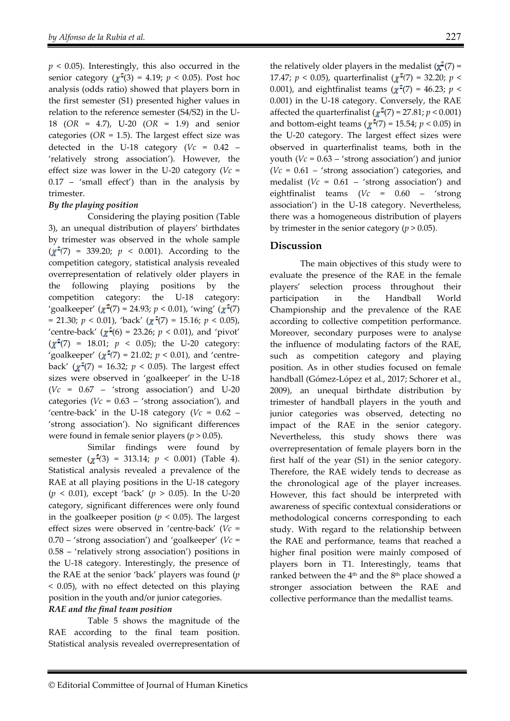$p \leq 0.05$ ). Interestingly, this also occurred in the senior category ( $\chi^2(3) = 4.19$ ;  $p < 0.05$ ). Post hoc analysis (odds ratio) showed that players born in the first semester (S1) presented higher values in relation to the reference semester (S4/S2) in the U-18 (*OR* = 4.7), U-20 (*OR* = 1.9) and senior categories ( $OR = 1.5$ ). The largest effect size was detected in the U-18 category ( $Vc = 0.42$  – 'relatively strong association'). However, the effect size was lower in the U-20 category (*Vc* = 0.17 – 'small effect') than in the analysis by trimester.

#### *By the playing position*

Considering the playing position (Table 3), an unequal distribution of players' birthdates by trimester was observed in the whole sample  $(\chi^2(7) = 339.20; p < 0.001)$ . According to the competition category, statistical analysis revealed overrepresentation of relatively older players in the following playing positions by the competition category: the U-18 category: 'goalkeeper' ( $\chi^2(7) = 24.93$ ;  $p < 0.01$ ), 'wing' ( $\chi^2(7)$ )  $= 21.30; p < 0.01$ ), 'back' ( $\chi^2(7) = 15.16; p < 0.05$ ), 'centre-back' ( $\chi^2(6) = 23.26$ ;  $p < 0.01$ ), and 'pivot'  $(\gamma^2(7) = 18.01; p < 0.05)$ ; the U-20 category: 'goalkeeper' ( $\chi^2(7) = 21.02$ ;  $p < 0.01$ ), and 'centreback' ( $\chi^2(7) = 16.32$ ;  $p < 0.05$ ). The largest effect sizes were observed in 'goalkeeper' in the U-18 (*Vc* = 0.67 – 'strong association') and U-20 categories ( $Vc = 0.63 - 'strong association'$ ), and 'centre-back' in the U-18 category ( $Vc = 0.62$  – 'strong association'). No significant differences were found in female senior players (*p* > 0.05).

 Similar findings were found by semester  $(\chi^2(3) = 313.14; p < 0.001)$  (Table 4). Statistical analysis revealed a prevalence of the RAE at all playing positions in the U-18 category  $(p < 0.01)$ , except 'back'  $(p > 0.05)$ . In the U-20 category, significant differences were only found in the goalkeeper position ( $p < 0.05$ ). The largest effect sizes were observed in 'centre-back' (*Vc* = 0.70 – 'strong association') and 'goalkeeper' (*Vc* = 0.58 – 'relatively strong association') positions in the U-18 category. Interestingly, the presence of the RAE at the senior 'back' players was found (*p* < 0.05), with no effect detected on this playing position in the youth and/or junior categories.

#### *RAE and the final team position*

 Table 5 shows the magnitude of the RAE according to the final team position. Statistical analysis revealed overrepresentation of the relatively older players in the medalist  $(\chi^2(7) =$ 17.47;  $p < 0.05$ ), quarterfinalist ( $\chi^2(7) = 32.20$ ;  $p <$ 0.001), and eightfinalist teams ( $\chi^2$ (7) = 46.23; *p* < 0.001) in the U-18 category. Conversely, the RAE affected the quarterfinalist  $(\chi^2(7) = 27.81; p < 0.001)$ and bottom-eight teams ( $\chi^2(7) = 15.54$ ;  $p < 0.05$ ) in the U-20 category. The largest effect sizes were observed in quarterfinalist teams, both in the youth (*Vc* = 0.63 – 'strong association') and junior (*Vc* = 0.61 – 'strong association') categories, and medalist (*Vc* = 0.61 – 'strong association') and eightfinalist teams (*Vc* = 0.60 – 'strong association') in the U-18 category. Nevertheless, there was a homogeneous distribution of players by trimester in the senior category ( $p > 0.05$ ).

# **Discussion**

The main objectives of this study were to evaluate the presence of the RAE in the female players' selection process throughout their participation in the Handball World Championship and the prevalence of the RAE according to collective competition performance. Moreover, secondary purposes were to analyse the influence of modulating factors of the RAE, such as competition category and playing position. As in other studies focused on female handball (Gómez-López et al., 2017; Schorer et al., 2009), an unequal birthdate distribution by trimester of handball players in the youth and junior categories was observed, detecting no impact of the RAE in the senior category. Nevertheless, this study shows there was overrepresentation of female players born in the first half of the year (S1) in the senior category. Therefore, the RAE widely tends to decrease as the chronological age of the player increases. However, this fact should be interpreted with awareness of specific contextual considerations or methodological concerns corresponding to each study. With regard to the relationship between the RAE and performance, teams that reached a higher final position were mainly composed of players born in T1. Interestingly, teams that ranked between the 4<sup>th</sup> and the 8<sup>th</sup> place showed a stronger association between the RAE and collective performance than the medallist teams.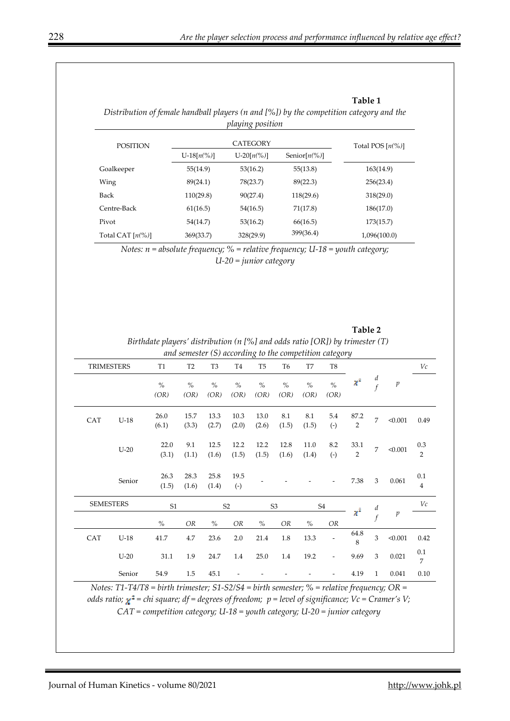**Table 1** 

|                             |               | piaying position    |           |              |
|-----------------------------|---------------|---------------------|-----------|--------------|
| <b>POSITION</b>             |               | Total POS $[n(\%)]$ |           |              |
|                             | $U-18[n(\%)]$ |                     |           |              |
| Goalkeeper                  | 55(14.9)      | 53(16.2)            | 55(13.8)  | 163(14.9)    |
| Wing                        | 89(24.1)      | 78(23.7)            | 89(22.3)  | 256(23.4)    |
| Back                        | 110(29.8)     | 90(27.4)            | 118(29.6) | 318(29.0)    |
| Centre-Back                 | 61(16.5)      | 54(16.5)            | 71(17.8)  | 186(17.0)    |
| Pivot                       | 54(14.7)      | 53(16.2)            | 66(16.5)  | 173(15.7)    |
| Total CAT $[n\binom{0}{0}]$ | 369(33.7)     | 328(29.9)           | 399(36.4) | 1,096(100.0) |

*Distribution of female handball players (n and [%]) by the competition category and the playing position* 

*Notes: n = absolute frequency; % = relative frequency; U-18 = youth category; U-20 = junior category* 

*and semester (S) according to the competition category*  TRIMESTERS T1 T2 T3 T4 T5 T6 T7 T8 *Vc d*  $\chi^2$  $\int_{f}^{u}$  *p % % % % % % % % (OR) (OR) (OR) (OR) (OR) (OR) (OR) (OR)*  CAT  $U-18$  26.0 15.7 13.3 10.3 13.0 8.1 8.1 5.4 87.2  $\frac{2}{2}$  7 < 0.001 0.49 (6.1) (3.3) (2.7) (2.0) (2.6) (1.5) (1.5) (-)  $U-20$  22.0 9.1 12.5 12.2 12.2 12.8 11.0 8.2  $\begin{array}{ccc} 33.1 & 7 & 0.001 & 0.3 \\ 2 & 7 & 0.001 & 2 \end{array}$ 33.1 (3.1) (1.1) (1.6) (1.5) (1.5) (1.6) (1.4) (-) 2 25.8 Senior  $\frac{26.3}{25.2}$ 28.3 19.5 (-) - - - - 7.38 3 0.061 0.1 (1.5) (1.6) (1.4) 4 *Vc*  SEMESTERS 51 S2 S3 S4 *d*  $\begin{array}{cc} d & p \\ f & p \end{array}$ *% OR % OR % OR % OR*   $\begin{array}{ccc} 64.8 & \quad 3 & \quad <0.001 \qquad 0.42 \end{array}$ CAT U-18 41.7 4.7 23.6 2.0 21.4 1.8 13.3 -  $^{64.8}$ U-20 31.1 1.9 24.7 1.4 25.0 1.4 19.2 - 9.69 3 0.021  $\frac{0.1}{7}$ 7 Senior 54.9 1.5 45.1 - - - - - - 4.19 1 0.041 0.10

**Table 2**  *Birthdate players' distribution (n [%] and odds ratio [OR]) by trimester (T)* 

*Notes: T1-T4/T8 = birth trimester; S1-S2/S4 = birth semester; % = relative frequency; OR = odds ratio;*  $\chi^2$  = *chi square; df* = *degrees of freedom; p* = level *of significance; Vc* = *Cramer's V; CAT = competition category; U-18 = youth category; U-20 = junior category*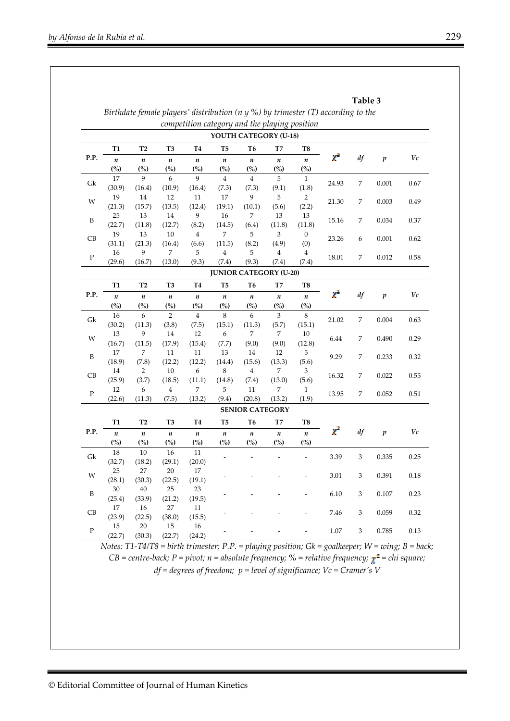|             |                  |                  |                           |                                               |                         |                               |                           | Birthdate female players' distribution ( $n$ $y$ %) by trimester (T) according to the |          | Table 3 |                  |              |
|-------------|------------------|------------------|---------------------------|-----------------------------------------------|-------------------------|-------------------------------|---------------------------|---------------------------------------------------------------------------------------|----------|---------|------------------|--------------|
|             |                  |                  |                           | competition category and the playing position |                         |                               |                           |                                                                                       |          |         |                  |              |
|             |                  |                  |                           |                                               |                         | YOUTH CATEGORY (U-18)         |                           |                                                                                       |          |         |                  |              |
|             | T <sub>1</sub>   | T <sub>2</sub>   | T <sub>3</sub>            | <b>T4</b>                                     | T <sub>5</sub>          | T <sub>6</sub>                | T7                        | T8                                                                                    |          |         |                  |              |
| P.P.        | $\boldsymbol{n}$ | $\boldsymbol{n}$ | $\boldsymbol{n}$          | $\boldsymbol{n}$                              | $\boldsymbol{n}$        | $\pmb{n}$                     | $\boldsymbol{n}$          | $\boldsymbol{n}$                                                                      | $\chi^2$ | df      | $\boldsymbol{p}$ | Vc           |
|             | (%)              | (%)              | $\frac{(o_{0})}{(o_{0})}$ | (%)                                           | (%)                     | $\left( % \right)$            | $\left( % \right)$        | $\frac{\binom{6}{2}}{2}$                                                              |          |         |                  |              |
| Gk          | 17               | 9                | 6                         | 9                                             | $\overline{4}$          | $\bf 4$                       | 5                         | $\mathbf{1}$                                                                          | 24.93    | 7       | 0.001            | 0.67         |
|             | (30.9)           | (16.4)           | (10.9)                    | (16.4)                                        | (7.3)                   | (7.3)                         | (9.1)                     | (1.8)                                                                                 |          |         |                  |              |
| W           | 19               | 14               | 12                        | 11                                            | 17                      | 9                             | 5                         | $\overline{2}$                                                                        | 21.30    | 7       | 0.003            | 0.49         |
|             | (21.3)           | (15.7)           | (13.5)                    | (12.4)                                        | (19.1)                  | (10.1)                        | (5.6)                     | (2.2)                                                                                 |          |         |                  |              |
| B           | 25               | 13               | 14                        | 9                                             | 16                      | 7                             | 13                        | 13                                                                                    | 15.16    | 7       | 0.034            | 0.37         |
|             | (22.7)           | (11.8)           | (12.7)                    | (8.2)                                         | (14.5)                  | (6.4)                         | (11.8)                    | (11.8)                                                                                |          |         |                  |              |
| CB          | 19               | 13               | 10                        | $\overline{\mathbf{4}}$                       | 7                       | 5                             | 3                         | $\boldsymbol{0}$                                                                      | 23.26    | 6<br>7  | 0.001<br>0.012   | 0.62<br>0.58 |
|             | (31.1)           | (21.3)           | (16.4)                    | (6.6)                                         | (11.5)                  | (8.2)                         | (4.9)                     | (0)                                                                                   |          |         |                  |              |
| ${\bf P}$   | 16               | 9                | 7                         | 5                                             | $\overline{\mathbf{4}}$ | 5                             | $\overline{\mathbf{4}}$   | $\overline{4}$                                                                        | 18.01    |         |                  |              |
|             | (29.6)           | (16.7)           | (13.0)                    | (9.3)                                         | (7.4)                   | (9.3)                         | (7.4)                     | (7.4)                                                                                 |          |         |                  |              |
|             |                  |                  |                           |                                               |                         | <b>JUNIOR CATEGORY (U-20)</b> |                           |                                                                                       |          |         |                  |              |
| P.P.        | T1               | T <sub>2</sub>   | T <sub>3</sub>            | <b>T4</b>                                     | T5                      | T6                            | T7                        | T8                                                                                    |          | df      | $\boldsymbol{p}$ |              |
|             | $\boldsymbol{n}$ | $\boldsymbol{n}$ | $\boldsymbol{n}$          | $\boldsymbol{n}$                              | $\boldsymbol{n}$        | $\boldsymbol{n}$              | $\boldsymbol{n}$          | $\boldsymbol{n}$                                                                      | $\chi^2$ |         |                  | Vc           |
|             | (%)              | (%)              | $\frac{(o_{0})}{(o_{0})}$ | (%)                                           | (%)                     | (%)                           | $\frac{(o_{o})}{(o_{o})}$ | (%)                                                                                   |          |         |                  |              |
|             | 16               | 6                | $\overline{2}$            | $\overline{4}$                                | $\,8\,$                 | 6                             | 3                         | $\,8\,$                                                                               |          | 7       | 0.004            |              |
| Gk          | (30.2)           | (11.3)           | (3.8)                     | (7.5)                                         | (15.1)                  | (11.3)                        | (5.7)                     | (15.1)                                                                                | 21.02    |         |                  | 0.63         |
|             | 13               | 9                | 14                        | 12                                            | 6                       | 7                             | 7                         | 10                                                                                    | 6.44     | 7       | 0.490            | 0.29         |
| W           | (16.7)           | (11.5)           | (17.9)                    | (15.4)                                        | (7.7)                   | (9.0)                         | (9.0)                     | (12.8)                                                                                |          |         |                  |              |
|             | 17               | 7                | 11                        | 11                                            | 13                      | 14                            | 12                        | 5                                                                                     |          |         |                  |              |
| B           | (18.9)           | (7.8)            | (12.2)                    | (12.2)                                        | (14.4)                  | (15.6)                        | (13.3)                    | (5.6)                                                                                 | 9.29     | 7       | 0.233            | 0.32         |
|             | 14               | $\overline{c}$   | 10                        | 6                                             | 8                       | 4                             | 7                         | 3                                                                                     |          |         |                  |              |
| CB          | (25.9)           | (3.7)            | (18.5)                    | (11.1)                                        | (14.8)                  | (7.4)                         | (13.0)                    | (5.6)                                                                                 | 16.32    | 7       | 0.022            | 0.55         |
| ${\bf P}$   | 12               | 6                | $\bf{4}$                  | 7                                             | 5                       | 11                            | 7                         | $\mathbf{1}$                                                                          |          | 7       |                  |              |
|             | (22.6)           | (11.3)           | (7.5)                     | (13.2)                                        | (9.4)                   | (20.8)                        | (13.2)                    | (1.9)                                                                                 | 13.95    |         | 0.052            | 0.51         |
|             |                  |                  |                           |                                               |                         | <b>SENIOR CATEGORY</b>        |                           |                                                                                       |          |         |                  |              |
|             | T1               | T <sub>2</sub>   | T <sub>3</sub>            | <b>T4</b>                                     | T5                      | T6                            | T7                        | T8                                                                                    |          |         |                  |              |
| P.P.        | $\boldsymbol{n}$ | $\boldsymbol{n}$ | $\boldsymbol{n}$          | $\boldsymbol{n}$                              | $\boldsymbol{n}$        | $\boldsymbol{n}$              | $\boldsymbol{n}$          | $\boldsymbol{n}$                                                                      | $\chi^2$ | df      | $\boldsymbol{p}$ | Vc           |
|             | (%)              | (%)              | (%)                       | (%)                                           | (%)                     | (%)                           | (%)                       | (%)                                                                                   |          |         |                  |              |
|             | 18               | 10               | 16                        | 11                                            |                         |                               |                           |                                                                                       | 3.39     | 3       | 0.335            | 0.25         |
| Gk          | (32.7)           | (18.2)           | (29.1)                    | (20.0)                                        |                         |                               |                           | $\overline{\phantom{a}}$                                                              |          |         |                  |              |
|             | 25               | 27               | 20                        | 17                                            |                         |                               |                           |                                                                                       | 3.01     | 3       |                  | 0.18         |
| W           | (28.1)           | (30.3)           | (22.5)                    | (19.1)                                        |                         |                               |                           |                                                                                       |          |         | 0.391            |              |
| B           | 30               | 40               | 25                        | 23                                            |                         |                               |                           |                                                                                       | 6.10     | 3       | 0.107            | 0.23         |
|             | (25.4)           | (33.9)           | (21.2)                    | (19.5)                                        |                         |                               |                           |                                                                                       |          |         |                  |              |
|             | 17               | 16               | 27                        | 11                                            |                         |                               |                           |                                                                                       | 7.46     | 3       | 0.059            | 0.32         |
| CB          | (23.9)           | (22.5)           | (38.0)                    | (15.5)                                        |                         |                               |                           |                                                                                       |          |         |                  |              |
|             | 15               | 20               | 15                        | 16                                            |                         |                               |                           |                                                                                       | 1.07     | 3       | 0.785            | 0.13         |
| $\mathbf P$ |                  |                  |                           | (24.2)                                        |                         |                               |                           |                                                                                       |          |         |                  |              |

*Notes: T1-T4/T8 = birth trimester; P.P. = playing position; Gk = goalkeeper; W = wing; B = back;*   $CB = centre \text{-}back; P = pivot; n = absolute frequency; \% = relative frequency; \chi^2 = chi \text{ square};$ *df = degrees of freedom; p = level of significance; Vc = Cramer's V*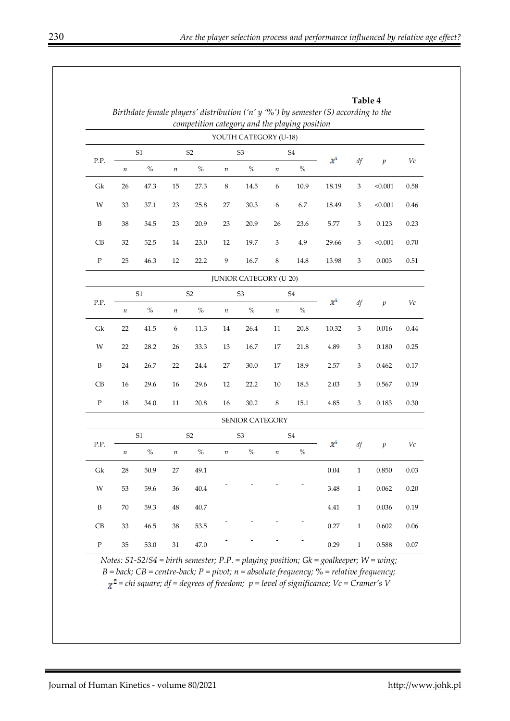|                     |                                  |                |                  |                |         |                               |                  |                                               | Birthdate female players' distribution ('n' $y$ '%') by semester (S) according to the | Table 4                   |                  |          |
|---------------------|----------------------------------|----------------|------------------|----------------|---------|-------------------------------|------------------|-----------------------------------------------|---------------------------------------------------------------------------------------|---------------------------|------------------|----------|
|                     |                                  |                |                  |                |         |                               |                  | competition category and the playing position |                                                                                       |                           |                  |          |
|                     |                                  |                |                  |                |         | YOUTH CATEGORY (U-18)         |                  |                                               |                                                                                       |                           |                  |          |
|                     | S1                               |                | S <sub>2</sub>   |                |         | S <sub>3</sub>                | ${\rm S4}$       |                                               |                                                                                       |                           |                  |          |
| P.P.                | $\boldsymbol{n}$                 | $\%$           | $\boldsymbol{n}$ | $\%$           | $\it n$ | $\%$                          | $\it n$          | $\%$                                          | $\chi^2$                                                                              | df                        | $\boldsymbol{p}$ | $V\!c$   |
| Gk                  | 26                               | 47.3           | 15               | 27.3           | $\,8\,$ | 14.5                          | $\boldsymbol{6}$ | 10.9                                          | 18.19                                                                                 | 3                         | < 0.001          | 0.58     |
| W                   | 33                               | 37.1           | 23               | 25.8           | 27      | 30.3                          | 6                | 6.7                                           | 18.49                                                                                 | 3                         | < 0.001          | 0.46     |
| $\, {\bf B}$        | 38                               | 34.5           | 23               | 20.9           | 23      | 20.9                          | 26               | 23.6                                          | 5.77                                                                                  | $\ensuremath{\mathsf{3}}$ | 0.123            | 0.23     |
| CB                  | 32                               | 52.5           | 14               | 23.0           | 12      | 19.7                          | 3                | 4.9                                           | 29.66                                                                                 | 3                         | < 0.001          | 0.70     |
| ${\bf P}$           | 25                               | 46.3           | 12               | 22.2           | 9       | 16.7                          | $\,8\,$          | 14.8                                          | 13.98                                                                                 | $\ensuremath{\mathsf{3}}$ | 0.003            | $0.51\,$ |
|                     |                                  |                |                  |                |         | <b>JUNIOR CATEGORY (U-20)</b> |                  |                                               |                                                                                       |                           |                  |          |
|                     |                                  | S <sub>1</sub> |                  | S <sub>2</sub> |         | S <sub>3</sub>                |                  | ${\rm S4}$                                    |                                                                                       |                           |                  | Vc       |
| P.P.                | $\boldsymbol{n}$                 | $\%$           | $\it n$          | $\%$           | $\it n$ | $\%$                          | $\it n$          | $\%$                                          | $x^2$                                                                                 | df                        | $\mathfrak{p}$   |          |
| Gk                  | 22                               | 41.5           | 6                | 11.3           | 14      | 26.4                          | 11               | 20.8                                          | 10.32                                                                                 | $\sqrt{3}$                | 0.016            |          |
| W                   | 22                               | 28.2           | 26               | 33.3           | 13      | 16.7                          | 17               | 21.8                                          | 4.89                                                                                  | 3                         | 0.180            | 0.25     |
| $\, {\bf B}$        | 24                               | 26.7           | 22               | 24.4           | 27      | 30.0                          | 17               | 18.9                                          | 2.57                                                                                  | 3                         | 0.462            | 0.17     |
| CB                  | 16                               | 29.6           | 16               | 29.6           | 12      | 22.2                          | 10               | 18.5                                          | 2.03                                                                                  | 3                         | 0.567            | 0.19     |
| $\, {\bf P}$        | 18                               | 34.0           | 11               | 20.8           | 16      | 30.2                          | $\,8\,$          | 15.1                                          | 4.85                                                                                  | 3                         | 0.183            | $0.30\,$ |
|                     |                                  |                |                  |                |         | <b>SENIOR CATEGORY</b>        |                  |                                               |                                                                                       |                           |                  |          |
|                     | S <sub>1</sub><br>S <sub>2</sub> |                |                  | S <sub>3</sub> |         | <b>S4</b>                     |                  | $\chi^2$                                      |                                                                                       |                           |                  |          |
| P.P.                | $\it n$                          | $\%$           | $\it n$          | $\%$           | $\it n$ | $\%$                          | $\boldsymbol{n}$ | $\%$                                          |                                                                                       | df                        | $\boldsymbol{p}$ | $V\!c$   |
| $\operatorname{Gk}$ | $28\,$                           | 50.9           | $27\,$           | 49.1           |         |                               |                  |                                               | $0.04\,$                                                                              | $\mathbf{1}$              | 0.850            | $0.03\,$ |
| W                   | 53                               | 59.6           | 36               | $40.4\,$       |         |                               |                  |                                               | 3.48                                                                                  | $\,1$                     | 0.062            | 0.20     |
| $\, {\bf B}$        | $70\,$                           | 59.3           | $\rm 48$         | $40.7\,$       |         |                               |                  |                                               | 4.41                                                                                  | $\,1\,$<br>0.036          |                  | 0.19     |
| CB                  | 33                               | 46.5           | $38\,$           | 53.5           |         |                               |                  |                                               | 0.27                                                                                  | $\,1\,$                   | 0.602            |          |
| ${\bf P}$           | $35\,$                           | $53.0\,$       | $31\,$           | $47.0\,$       |         |                               |                  |                                               | 0.29                                                                                  | $\,1\,$                   | 0.588            | $0.07\,$ |

*Notes: S1-S2/S4 = birth semester; P.P. = playing position; Gk = goalkeeper; W = wing; B = back; CB = centre-back; P = pivot; n = absolute frequency; % = relative frequency;*   $\chi^2$  = chi square; df = degrees of freedom;  $p$  = level of significance;  $Vc$  = Cramer's V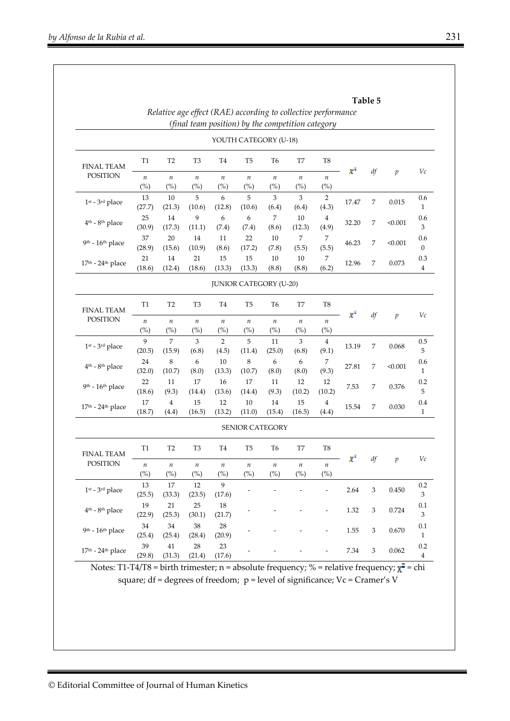|                                         | Table 5<br>Relative age effect (RAE) according to collective performance<br>(final team position) by the competition category |                         |                                                 |                            |                               |                                       |                |                         |          |                  |                        |                                |
|-----------------------------------------|-------------------------------------------------------------------------------------------------------------------------------|-------------------------|-------------------------------------------------|----------------------------|-------------------------------|---------------------------------------|----------------|-------------------------|----------|------------------|------------------------|--------------------------------|
|                                         |                                                                                                                               |                         |                                                 |                            | YOUTH CATEGORY (U-18)         |                                       |                |                         |          |                  |                        |                                |
| <b>FINAL TEAM</b>                       | T1                                                                                                                            | T <sub>2</sub>          | T3                                              | T <sub>4</sub>             | T5                            | T <sub>6</sub>                        | T7             | T8                      |          |                  |                        | Vc                             |
| <b>POSITION</b>                         | $\boldsymbol{n}$<br>(%)                                                                                                       | $\it n$<br>(%)          | $\boldsymbol{n}$<br>$(\%)$                      | $\boldsymbol{n}$<br>(%)    | $\boldsymbol{n}$<br>(%)       | $\it n$<br>$(\%)$                     | $\it n$<br>(%) | $\it n$<br>(%)          | $x^2$    | df               | $\boldsymbol{p}$       |                                |
| $1st - 3rd place$                       | 13<br>(27.7)                                                                                                                  | 10<br>(21.3)            | 5<br>(10.6)                                     | 6<br>(12.8)                | 5<br>(10.6)                   | 3<br>(6.4)                            | 3<br>(6.4)     | $\overline{2}$<br>(4.3) | 17.47    | $\boldsymbol{7}$ | 0.015                  | 0.6<br>$\mathbf{1}$            |
| $4th$ - $8th$ place                     | 25<br>(30.9)                                                                                                                  | $14\,$<br>(17.3)        | 9<br>(11.1)                                     | 6<br>(7.4)                 | 6<br>(7.4)                    | $\overline{7}$<br>(8.6)               | 10<br>(12.3)   | $\overline{4}$<br>(4.9) | 32.20    | 7                | < 0.001                | 0.6<br>$\mathfrak{Z}$          |
| $9th - 16th$ place                      | 37<br>(28.9)                                                                                                                  | 20<br>(15.6)            | 14<br>(10.9)                                    | 11<br>(8.6)                | 22<br>(17.2)                  | 10<br>(7.8)                           | 7<br>(5.5)     | 7<br>(5.5)              | 46.23    | 7                | < 0.001                | 0.6<br>$\mathbf{0}$            |
| $17th$ - $24th$ place                   | 21<br>(18.6)                                                                                                                  | 14<br>(12.4)            | 21<br>(18.6)                                    | 15<br>(13.3)               | 15<br>(13.3)                  | 10<br>(8.8)                           | 10<br>(8.8)    | 7<br>(6.2)              | 12.96    | 7                | 0.073                  | 0.3<br>4                       |
|                                         |                                                                                                                               |                         |                                                 |                            | <b>JUNIOR CATEGORY (U-20)</b> |                                       |                |                         |          |                  |                        |                                |
| <b>FINAL TEAM</b>                       | T1                                                                                                                            | T <sub>2</sub>          | T3                                              | T <sub>4</sub>             | T <sub>5</sub>                | T <sub>6</sub>                        | T7             | T <sub>8</sub>          | $\chi^2$ |                  | df<br>$\boldsymbol{p}$ | Vc                             |
| <b>POSITION</b>                         | $\boldsymbol{n}$<br>$(\%)$                                                                                                    | $\it n$<br>(%)          | $\boldsymbol{n}$<br>$(\%)$                      | $\boldsymbol{n}$<br>$(\%)$ | $\it n$<br>(%)                | $\it n$<br>$(\%)$                     | $\it n$<br>(%) | $\it n$<br>(%)          |          |                  |                        |                                |
| $1st - 3rd$ place                       | 9<br>(20.5)                                                                                                                   | 7<br>(15.9)             | 3<br>(6.8)                                      | $\overline{2}$<br>(4.5)    | 5<br>(11.4)                   | 11<br>(25.0)                          | 3<br>(6.8)     | $\overline{4}$<br>(9.1) | 13.19    | 7                | 0.068                  | 0.5<br>5                       |
| $4th$ - $8th$ place                     | 24<br>(32.0)                                                                                                                  | 8<br>(10.7)             | 6<br>(8.0)                                      | 10<br>(13.3)               | 8<br>(10.7)                   | 6<br>(8.0)                            | 6<br>(8.0)     | 7<br>(9.3)              | 27.81    | 7                | < 0.001                | 0.6<br>$\mathbf{1}$            |
| $9th - 16th$ place                      | 22<br>(18.6)                                                                                                                  | 11<br>(9.3)             | 17<br>(14.4)                                    | 16<br>(13.6)               | 17<br>(14.4)                  | 11<br>(9.3)                           | 12<br>(10.2)   | 12<br>(10.2)            | 7.53     | 7                | 0.376                  | 0.2<br>5                       |
| $17th$ - $24th$ place                   | 17<br>(18.7)                                                                                                                  | $\overline{4}$<br>(4.4) | 15<br>(16.5)                                    | 12<br>(13.2)               | 10<br>(11.0)                  | 14<br>(15.4)                          | 15<br>(16.5)   | $\overline{4}$<br>(4.4) | 15.54    | 7                | 0.030                  | 0.4<br>$\mathbf{1}$            |
|                                         |                                                                                                                               |                         |                                                 |                            | SENIOR CATEGORY               |                                       |                |                         |          |                  |                        |                                |
| <b>FINAL TEAM</b>                       | T1                                                                                                                            | T <sub>2</sub>          | T3                                              | T <sub>4</sub>             | T5                            | T6                                    | T7             | T8                      |          |                  |                        |                                |
| <b>POSITION</b>                         | $\boldsymbol{n}$<br>(%)                                                                                                       | $\it n$<br>(%)          | п<br>$\left(^{\text{o}}\!/\!_{\text{o}}\right)$ | п<br>(%)                   | $\it n$<br>(%)                | $\boldsymbol{n}$<br>$\left(\%\right)$ | $\it n$<br>(%) | п<br>$(^{0}\!\!/\!_0)$  | $\chi^2$ | df               | $\boldsymbol{p}$       | Vc                             |
| $1st$ - 3 <sup>rd</sup> place           | 13<br>(25.5)                                                                                                                  | 17<br>(33.3)            | 12<br>(23.5)                                    | 9<br>(17.6)                |                               |                                       |                |                         | 2.64     | $\sqrt{3}$       | 0.450                  | 0.2<br>3                       |
| 4 <sup>th</sup> - 8 <sup>th</sup> place | 19<br>(22.9)                                                                                                                  | 21<br>(25.3)            | 25<br>(30.1)                                    | $18\,$<br>(21.7)           |                               |                                       |                |                         | 1.32     | 3                | 0.724                  | 0.1<br>3                       |
| 9th - 16th place                        | 34<br>(25.4)                                                                                                                  | 34<br>(25.4)            | $38\,$<br>(28.4)                                | 28<br>(20.9)               |                               |                                       |                |                         | 1.55     | 3                | 0.670                  | 0.1<br>$\mathbf{1}$            |
| $17th$ - $24th$ place                   | 39<br>(29.8)                                                                                                                  | $41\,$<br>(31.3)        | 28<br>(21.4)                                    | $23\,$<br>(17.6)           |                               |                                       |                |                         | 7.34     | 3                | 0.062                  | 0.2<br>$\overline{\mathbf{4}}$ |

Notes: T1-T4/T8 = birth trimester; n = absolute frequency; % = relative frequency;  $\chi^2$  = chi square; df = degrees of freedom; p = level of significance; Vc = Cramer's V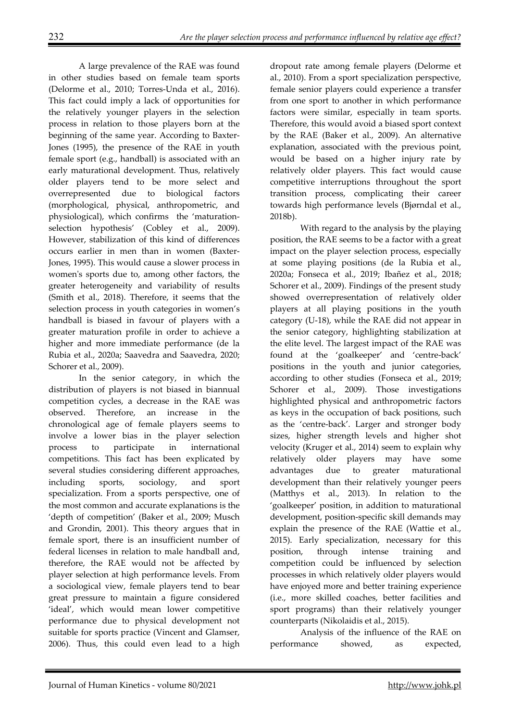A large prevalence of the RAE was found in other studies based on female team sports (Delorme et al., 2010; Torres-Unda et al., 2016). This fact could imply a lack of opportunities for the relatively younger players in the selection process in relation to those players born at the beginning of the same year. According to Baxter-Jones (1995), the presence of the RAE in youth female sport (e.g., handball) is associated with an early maturational development. Thus, relatively older players tend to be more select and overrepresented due to biological factors (morphological, physical, anthropometric, and physiological), which confirms the 'maturationselection hypothesis' (Cobley et al., 2009). However, stabilization of this kind of differences occurs earlier in men than in women (Baxter-Jones, 1995). This would cause a slower process in women's sports due to, among other factors, the greater heterogeneity and variability of results (Smith et al., 2018). Therefore, it seems that the selection process in youth categories in women's handball is biased in favour of players with a greater maturation profile in order to achieve a higher and more immediate performance (de la Rubia et al., 2020a; Saavedra and Saavedra, 2020; Schorer et al., 2009).

In the senior category, in which the distribution of players is not biased in biannual competition cycles, a decrease in the RAE was observed. Therefore, an increase in the chronological age of female players seems to involve a lower bias in the player selection process to participate in international competitions. This fact has been explicated by several studies considering different approaches, including sports, sociology, and sport specialization. From a sports perspective, one of the most common and accurate explanations is the 'depth of competition' (Baker et al., 2009; Musch and Grondin, 2001). This theory argues that in female sport, there is an insufficient number of federal licenses in relation to male handball and, therefore, the RAE would not be affected by player selection at high performance levels. From a sociological view, female players tend to bear great pressure to maintain a figure considered 'ideal', which would mean lower competitive performance due to physical development not suitable for sports practice (Vincent and Glamser, 2006). Thus, this could even lead to a high

dropout rate among female players (Delorme et al., 2010). From a sport specialization perspective, female senior players could experience a transfer from one sport to another in which performance factors were similar, especially in team sports. Therefore, this would avoid a biased sport context by the RAE (Baker et al., 2009). An alternative explanation, associated with the previous point, would be based on a higher injury rate by relatively older players. This fact would cause competitive interruptions throughout the sport transition process, complicating their career towards high performance levels (Bjørndal et al., 2018b).

With regard to the analysis by the playing position, the RAE seems to be a factor with a great impact on the player selection process, especially at some playing positions (de la Rubia et al., 2020a; Fonseca et al., 2019; Ibañez et al., 2018; Schorer et al., 2009). Findings of the present study showed overrepresentation of relatively older players at all playing positions in the youth category (U-18), while the RAE did not appear in the senior category, highlighting stabilization at the elite level. The largest impact of the RAE was found at the 'goalkeeper' and 'centre-back' positions in the youth and junior categories, according to other studies (Fonseca et al., 2019; Schorer et al., 2009). Those investigations highlighted physical and anthropometric factors as keys in the occupation of back positions, such as the 'centre-back'. Larger and stronger body sizes, higher strength levels and higher shot velocity (Kruger et al., 2014) seem to explain why relatively older players may have some advantages due to greater maturational development than their relatively younger peers (Matthys et al., 2013). In relation to the 'goalkeeper' position, in addition to maturational development, position-specific skill demands may explain the presence of the RAE (Wattie et al., 2015). Early specialization, necessary for this position, through intense training and competition could be influenced by selection processes in which relatively older players would have enjoyed more and better training experience (i.e., more skilled coaches, better facilities and sport programs) than their relatively younger counterparts (Nikolaidis et al., 2015).

Analysis of the influence of the RAE on performance showed, as expected,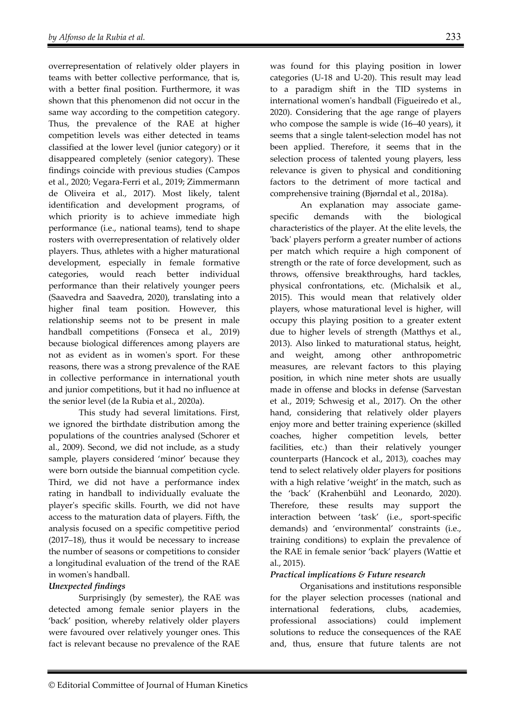overrepresentation of relatively older players in teams with better collective performance, that is, with a better final position. Furthermore, it was shown that this phenomenon did not occur in the same way according to the competition category. Thus, the prevalence of the RAE at higher competition levels was either detected in teams classified at the lower level (junior category) or it disappeared completely (senior category). These findings coincide with previous studies (Campos et al., 2020; Vegara-Ferri et al., 2019; Zimmermann de Oliveira et al., 2017). Most likely, talent identification and development programs, of which priority is to achieve immediate high performance (i.e., national teams), tend to shape rosters with overrepresentation of relatively older players. Thus, athletes with a higher maturational development, especially in female formative categories, would reach better individual performance than their relatively younger peers (Saavedra and Saavedra, 2020), translating into a higher final team position. However, this relationship seems not to be present in male handball competitions (Fonseca et al., 2019) because biological differences among players are not as evident as in women's sport. For these reasons, there was a strong prevalence of the RAE in collective performance in international youth and junior competitions, but it had no influence at the senior level (de la Rubia et al., 2020a).

This study had several limitations. First, we ignored the birthdate distribution among the populations of the countries analysed (Schorer et al., 2009). Second, we did not include, as a study sample, players considered 'minor' because they were born outside the biannual competition cycle. Third, we did not have a performance index rating in handball to individually evaluate the player's specific skills. Fourth, we did not have access to the maturation data of players. Fifth, the analysis focused on a specific competitive period (2017–18), thus it would be necessary to increase the number of seasons or competitions to consider a longitudinal evaluation of the trend of the RAE in women's handball.

#### *Unexpected findings*

Surprisingly (by semester), the RAE was detected among female senior players in the 'back' position, whereby relatively older players were favoured over relatively younger ones. This fact is relevant because no prevalence of the RAE was found for this playing position in lower categories (U-18 and U-20). This result may lead to a paradigm shift in the TID systems in international women's handball (Figueiredo et al., 2020). Considering that the age range of players who compose the sample is wide (16–40 years), it seems that a single talent-selection model has not been applied. Therefore, it seems that in the selection process of talented young players, less relevance is given to physical and conditioning factors to the detriment of more tactical and comprehensive training (Bjørndal et al., 2018a).

An explanation may associate gamespecific demands with the biological characteristics of the player. At the elite levels, the 'back' players perform a greater number of actions per match which require a high component of strength or the rate of force development, such as throws, offensive breakthroughs, hard tackles, physical confrontations, etc. (Michalsik et al., 2015). This would mean that relatively older players, whose maturational level is higher, will occupy this playing position to a greater extent due to higher levels of strength (Matthys et al., 2013). Also linked to maturational status, height, and weight, among other anthropometric measures, are relevant factors to this playing position, in which nine meter shots are usually made in offense and blocks in defense (Sarvestan et al., 2019; Schwesig et al., 2017). On the other hand, considering that relatively older players enjoy more and better training experience (skilled coaches, higher competition levels, better facilities, etc.) than their relatively younger counterparts (Hancock et al., 2013), coaches may tend to select relatively older players for positions with a high relative 'weight' in the match, such as the 'back' (Krahenbühl and Leonardo, 2020). Therefore, these results may support the interaction between 'task' (i.e., sport-specific demands) and 'environmental' constraints (i.e., training conditions) to explain the prevalence of the RAE in female senior 'back' players (Wattie et al., 2015).

#### *Practical implications & Future research*

Organisations and institutions responsible for the player selection processes (national and international federations, clubs, academies, professional associations) could implement solutions to reduce the consequences of the RAE and, thus, ensure that future talents are not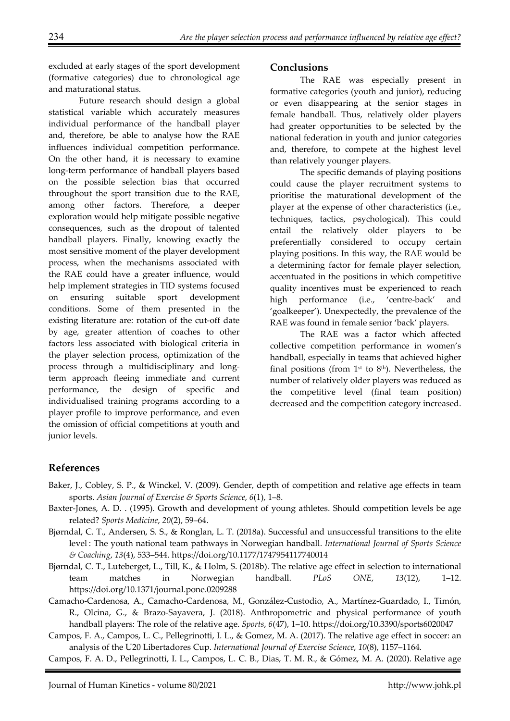excluded at early stages of the sport development (formative categories) due to chronological age and maturational status.

Future research should design a global statistical variable which accurately measures individual performance of the handball player and, therefore, be able to analyse how the RAE influences individual competition performance. On the other hand, it is necessary to examine long-term performance of handball players based on the possible selection bias that occurred throughout the sport transition due to the RAE, among other factors. Therefore, a deeper exploration would help mitigate possible negative consequences, such as the dropout of talented handball players. Finally, knowing exactly the most sensitive moment of the player development process, when the mechanisms associated with the RAE could have a greater influence, would help implement strategies in TID systems focused on ensuring suitable sport development conditions. Some of them presented in the existing literature are: rotation of the cut-off date by age, greater attention of coaches to other factors less associated with biological criteria in the player selection process, optimization of the process through a multidisciplinary and longterm approach fleeing immediate and current performance, the design of specific and individualised training programs according to a player profile to improve performance, and even the omission of official competitions at youth and junior levels.

### **Conclusions**

The RAE was especially present in formative categories (youth and junior), reducing or even disappearing at the senior stages in female handball. Thus, relatively older players had greater opportunities to be selected by the national federation in youth and junior categories and, therefore, to compete at the highest level than relatively younger players.

The specific demands of playing positions could cause the player recruitment systems to prioritise the maturational development of the player at the expense of other characteristics (i.e., techniques, tactics, psychological). This could entail the relatively older players to be preferentially considered to occupy certain playing positions. In this way, the RAE would be a determining factor for female player selection, accentuated in the positions in which competitive quality incentives must be experienced to reach high performance (i.e., 'centre-back' and 'goalkeeper'). Unexpectedly, the prevalence of the RAE was found in female senior 'back' players.

The RAE was a factor which affected collective competition performance in women's handball, especially in teams that achieved higher final positions (from  $1<sup>st</sup>$  to  $8<sup>th</sup>$ ). Nevertheless, the number of relatively older players was reduced as the competitive level (final team position) decreased and the competition category increased.

# **References**

- Baker, J., Cobley, S. P., & Winckel, V. (2009). Gender, depth of competition and relative age effects in team sports. *Asian Journal of Exercise & Sports Science*, *6*(1), 1–8.
- Baxter-Jones, A. D. . (1995). Growth and development of young athletes. Should competition levels be age related? *Sports Medicine*, *20*(2), 59–64.
- Bjørndal, C. T., Andersen, S. S., & Ronglan, L. T. (2018a). Successful and unsuccessful transitions to the elite level : The youth national team pathways in Norwegian handball. *International Journal of Sports Science & Coaching*, *13*(4), 533–544. https://doi.org/10.1177/1747954117740014
- Bjørndal, C. T., Luteberget, L., Till, K., & Holm, S. (2018b). The relative age effect in selection to international team matches in Norwegian handball. *PLoS ONE*, *13*(12), 1–12. https://doi.org/10.1371/journal.pone.0209288
- Camacho-Cardenosa, A., Camacho-Cardenosa, M., González-Custodio, A., Martínez-Guardado, I., Timón, R., Olcina, G., & Brazo-Sayavera, J. (2018). Anthropometric and physical performance of youth handball players: The role of the relative age. *Sports*,  $6(47)$ , 1–10. https://doi.org/10.3390/sports6020047
- Campos, F. A., Campos, L. C., Pellegrinotti, I. L., & Gomez, M. A. (2017). The relative age effect in soccer: an analysis of the U20 Libertadores Cup. *International Journal of Exercise Science*, *10*(8), 1157–1164.
- Campos, F. A. D., Pellegrinotti, I. L., Campos, L. C. B., Dias, T. M. R., & Gómez, M. A. (2020). Relative age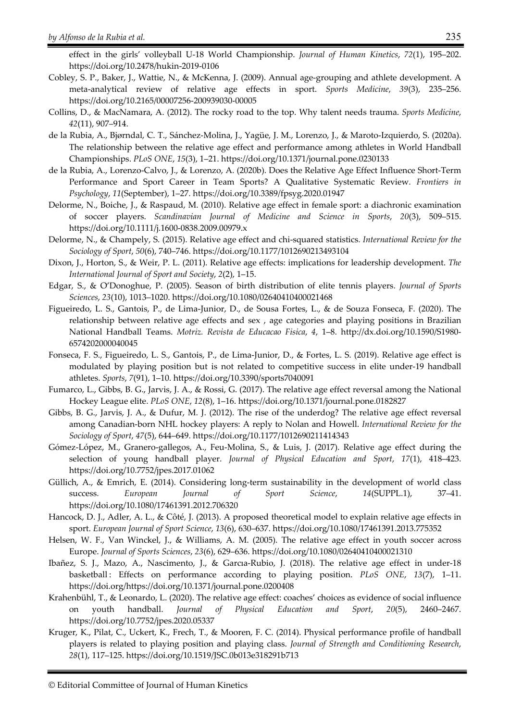- effect in the girls' volleyball U-18 World Championship. *Journal of Human Kinetics*, *72*(1), 195–202. https://doi.org/10.2478/hukin-2019-0106
- Cobley, S. P., Baker, J., Wattie, N., & McKenna, J. (2009). Annual age-grouping and athlete development. A meta-analytical review of relative age effects in sport. *Sports Medicine*, *39*(3), 235–256. https://doi.org/10.2165/00007256-200939030-00005
- Collins, D., & MacNamara, A. (2012). The rocky road to the top. Why talent needs trauma. *Sports Medicine*, *42*(11), 907–914.
- de la Rubia, A., Bjørndal, C. T., Sánchez-Molina, J., Yagüe, J. M., Lorenzo, J., & Maroto-Izquierdo, S. (2020a). The relationship between the relative age effect and performance among athletes in World Handball Championships. *PLoS ONE*, *15*(3), 1–21. https://doi.org/10.1371/journal.pone.0230133
- de la Rubia, A., Lorenzo-Calvo, J., & Lorenzo, A. (2020b). Does the Relative Age Effect Influence Short-Term Performance and Sport Career in Team Sports? A Qualitative Systematic Review. *Frontiers in Psychology*, *11*(September), 1–27. https://doi.org/10.3389/fpsyg.2020.01947
- Delorme, N., Boiche, J., & Raspaud, M. (2010). Relative age effect in female sport: a diachronic examination of soccer players. *Scandinavian Journal of Medicine and Science in Sports*, *20*(3), 509–515. https://doi.org/10.1111/j.1600-0838.2009.00979.x
- Delorme, N., & Champely, S. (2015). Relative age effect and chi-squared statistics. *International Review for the Sociology of Sport*, *50*(6), 740–746. https://doi.org/10.1177/1012690213493104
- Dixon, J., Horton, S., & Weir, P. L. (2011). Relative age effects: implications for leadership development. *The International Journal of Sport and Society*, *2*(2), 1–15.
- Edgar, S., & O'Donoghue, P. (2005). Season of birth distribution of elite tennis players. *Journal of Sports Sciences*, *23*(10), 1013–1020. https://doi.org/10.1080/02640410400021468
- Figueiredo, L. S., Gantois, P., de Lima-Junior, D., de Sousa Fortes, L., & de Souza Fonseca, F. (2020). The relationship between relative age effects and sex , age categories and playing positions in Brazilian National Handball Teams. *Motriz. Revista de Educacao Fisica*, *4*, 1–8. http://dx.doi.org/10.1590/S1980- 6574202000040045
- Fonseca, F. S., Figueiredo, L. S., Gantois, P., de Lima-Junior, D., & Fortes, L. S. (2019). Relative age effect is modulated by playing position but is not related to competitive success in elite under-19 handball athletes. *Sports*, *7*(91), 1–10. https://doi.org/10.3390/sports7040091
- Fumarco, L., Gibbs, B. G., Jarvis, J. A., & Rossi, G. (2017). The relative age effect reversal among the National Hockey League elite. *PLoS ONE*, *12*(8), 1–16. https://doi.org/10.1371/journal.pone.0182827
- Gibbs, B. G., Jarvis, J. A., & Dufur, M. J. (2012). The rise of the underdog? The relative age effect reversal among Canadian-born NHL hockey players: A reply to Nolan and Howell. *International Review for the Sociology of Sport*, *47*(5), 644–649. https://doi.org/10.1177/1012690211414343
- Gómez-López, M., Granero-gallegos, A., Feu-Molina, S., & Luis, J. (2017). Relative age effect during the selection of young handball player. *Journal of Physical Education and Sport*, *17*(1), 418–423. https://doi.org/10.7752/jpes.2017.01062
- Güllich, A., & Emrich, E. (2014). Considering long-term sustainability in the development of world class success. *European Journal of Sport Science*, *14*(SUPPL.1), 37–41. https://doi.org/10.1080/17461391.2012.706320
- Hancock, D. J., Adler, A. L., & Côté, J. (2013). A proposed theoretical model to explain relative age effects in sport. *European Journal of Sport Science*, *13*(6), 630–637. https://doi.org/10.1080/17461391.2013.775352
- Helsen, W. F., Van Winckel, J., & Williams, A. M. (2005). The relative age effect in youth soccer across Europe. *Journal of Sports Sciences*, *23*(6), 629–636. https://doi.org/10.1080/02640410400021310
- Ibañez, S. J., Mazo, A., Nascimento, J., & Garcıa-Rubio, J. (2018). The relative age effect in under-18 basketball : Effects on performance according to playing position. *PLoS ONE*, *13*(7), 1–11. https://doi.org/https://doi.org/10.1371/journal.pone.0200408
- Krahenbühl, T., & Leonardo, L. (2020). The relative age effect: coaches' choices as evidence of social influence on youth handball. *Journal of Physical Education and Sport*, *20*(5), 2460–2467. https://doi.org/10.7752/jpes.2020.05337
- Kruger, K., Pilat, C., Uckert, K., Frech, T., & Mooren, F. C. (2014). Physical performance profile of handball players is related to playing position and playing class. *Journal of Strength and Conditioning Research*, *28*(1), 117–125. https://doi.org/10.1519/JSC.0b013e318291b713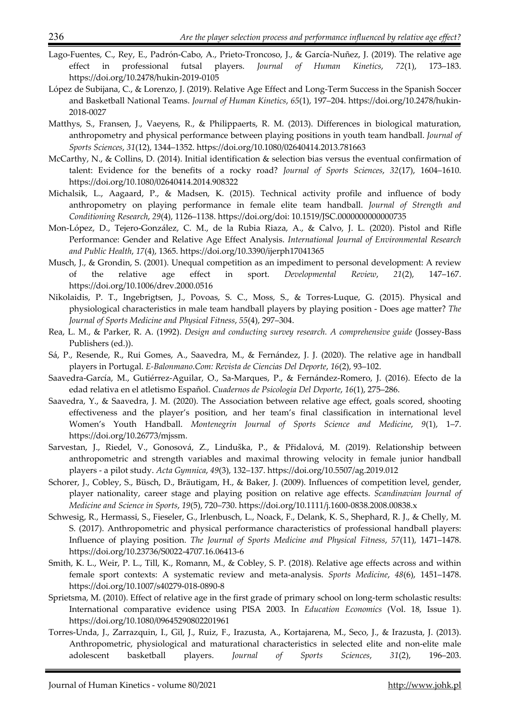- Lago-Fuentes, C., Rey, E., Padrón-Cabo, A., Prieto-Troncoso, J., & García-Nuñez, J. (2019). The relative age effect in professional futsal players. *Journal of Human Kinetics*, *72*(1), 173–183. https://doi.org/10.2478/hukin-2019-0105
- López de Subijana, C., & Lorenzo, J. (2019). Relative Age Effect and Long-Term Success in the Spanish Soccer and Basketball National Teams. *Journal of Human Kinetics*, *65*(1), 197–204. https://doi.org/10.2478/hukin-2018-0027
- Matthys, S., Fransen, J., Vaeyens, R., & Philippaerts, R. M. (2013). Differences in biological maturation, anthropometry and physical performance between playing positions in youth team handball. *Journal of Sports Sciences*, *31*(12), 1344–1352. https://doi.org/10.1080/02640414.2013.781663
- McCarthy, N., & Collins, D. (2014). Initial identification & selection bias versus the eventual confirmation of talent: Evidence for the benefits of a rocky road? *Journal of Sports Sciences*, *32*(17), 1604–1610. https://doi.org/10.1080/02640414.2014.908322
- Michalsik, L., Aagaard, P., & Madsen, K. (2015). Technical activity profile and influence of body anthropometry on playing performance in female elite team handball. *Journal of Strength and Conditioning Research*, *29*(4), 1126–1138. https://doi.org/doi: 10.1519/JSC.0000000000000735
- Mon-López, D., Tejero-González, C. M., de la Rubia Riaza, A., & Calvo, J. L. (2020). Pistol and Rifle Performance: Gender and Relative Age Effect Analysis. *International Journal of Environmental Research and Public Health*, *17*(4), 1365. https://doi.org/10.3390/ijerph17041365
- Musch, J., & Grondin, S. (2001). Unequal competition as an impediment to personal development: A review of the relative age effect in sport. *Developmental Review*, *21*(2), 147–167. https://doi.org/10.1006/drev.2000.0516
- Nikolaidis, P. T., Ingebrigtsen, J., Povoas, S. C., Moss, S., & Torres-Luque, G. (2015). Physical and physiological characteristics in male team handball players by playing position - Does age matter? *The Journal of Sports Medicine and Physical Fitness*, *55*(4), 297–304.
- Rea, L. M., & Parker, R. A. (1992). *Design and conducting survey research. A comprehensive guide* (Jossey-Bass Publishers (ed.)).
- Sá, P., Resende, R., Rui Gomes, A., Saavedra, M., & Fernández, J. J. (2020). The relative age in handball players in Portugal. *E-Balonmano.Com: Revista de Ciencias Del Deporte*, *16*(2), 93–102.
- Saavedra-García, M., Gutiérrez-Aguilar, O., Sa-Marques, P., & Fernández-Romero, J. (2016). Efecto de la edad relativa en el atletismo Español. *Cuadernos de Psicologia Del Deporte*, *16*(1), 275–286.
- Saavedra, Y., & Saavedra, J. M. (2020). The Association between relative age effect, goals scored, shooting effectiveness and the player's position, and her team's final classification in international level Women's Youth Handball. *Montenegrin Journal of Sports Science and Medicine*, *9*(1), 1–7. https://doi.org/10.26773/mjssm.
- Sarvestan, J., Riedel, V., Gonosová, Z., Linduška, P., & Přidalová, M. (2019). Relationship between anthropometric and strength variables and maximal throwing velocity in female junior handball players - a pilot study. *Acta Gymnica*, *49*(3), 132–137. https://doi.org/10.5507/ag.2019.012
- Schorer, J., Cobley, S., Büsch, D., Bräutigam, H., & Baker, J. (2009). Influences of competition level, gender, player nationality, career stage and playing position on relative age effects. *Scandinavian Journal of Medicine and Science in Sports*, *19*(5), 720–730. https://doi.org/10.1111/j.1600-0838.2008.00838.x
- Schwesig, R., Hermassi, S., Fieseler, G., Irlenbusch, L., Noack, F., Delank, K. S., Shephard, R. J., & Chelly, M. S. (2017). Anthropometric and physical performance characteristics of professional handball players: Influence of playing position. *The Journal of Sports Medicine and Physical Fitness*, *57*(11), 1471–1478. https://doi.org/10.23736/S0022-4707.16.06413-6
- Smith, K. L., Weir, P. L., Till, K., Romann, M., & Cobley, S. P. (2018). Relative age effects across and within female sport contexts: A systematic review and meta-analysis. *Sports Medicine*, *48*(6), 1451–1478. https://doi.org/10.1007/s40279-018-0890-8
- Sprietsma, M. (2010). Effect of relative age in the first grade of primary school on long-term scholastic results: International comparative evidence using PISA 2003. In *Education Economics* (Vol. 18, Issue 1). https://doi.org/10.1080/09645290802201961
- Torres-Unda, J., Zarrazquin, I., Gil, J., Ruiz, F., Irazusta, A., Kortajarena, M., Seco, J., & Irazusta, J. (2013). Anthropometric, physiological and maturational characteristics in selected elite and non-elite male adolescent basketball players. *Journal of Sports Sciences*, *31*(2), 196–203.